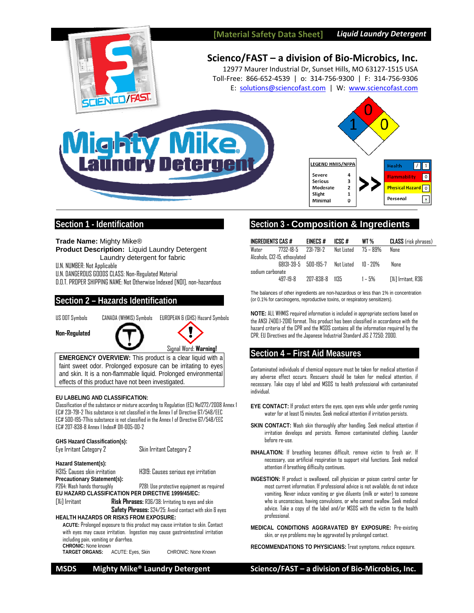



# **Scienco/FAST – a division of Bio‐Microbics, Inc.**

12977 Maurer Industrial Dr, Sunset Hills, MO 63127‐1515 USA Toll‐Free: 866‐652‐4539 | o: 314‐756‐9300 | F: 314‐756‐9306 E: solutions@sciencofast.com | W: www.sciencofast.com





## **Section 1 - Identification**

**Trade Name:** Mighty Mike® **Product Description:** Liquid Laundry Detergent Laundry detergent for fabric

U.N. NUMBER: Not Applicable

U.N. DANGEROUS GOODS CLASS: Non-Regulated Material

D.O.T. PROPER SHIPPING NAME: Not Otherwise Indexed [NOI], non-hazardous

### **Section 2 – Hazards Identification**



**Non-Regulated** 



**EMERGENCY OVERVIEW:** This product is a clear liquid with a faint sweet odor. Prolonged exposure can be irritating to eyes and skin. It is a non-flammable liquid. Prolonged environmental effects of this product have not been investigated.

#### **EU LABELING AND CLASSIFICATION:**

Classification of the substance or mixture according to Regulation (EC) No1272/2008 Annex 1 EC# 231-791-2 This substance is not classified in the Annex I of Directive 67/548/EEC EC# 500-195-7This substance is not classified in the Annex I of Directive 67/548/EEC EC# 207-838-8 Annex I Index# 011-005-00-2

| <b>GHS Hazard Classification(s):</b><br>Eye Irritant Category 2                 | Skin Irritant Category 2                                                        |  |  |  |  |  |
|---------------------------------------------------------------------------------|---------------------------------------------------------------------------------|--|--|--|--|--|
| Hazard Statement(s):                                                            |                                                                                 |  |  |  |  |  |
| H315: Causes skin irritation                                                    | H319: Causes serious eye irritation                                             |  |  |  |  |  |
| Precautionary Statement(s):                                                     |                                                                                 |  |  |  |  |  |
| P264: Wash hands thoroughly                                                     | P281: Use protective equipment as required                                      |  |  |  |  |  |
| EU HAZARD CLASSIFICATION PER DIRECTIVE 1999/45/EC:                              |                                                                                 |  |  |  |  |  |
| [Xi] Irritant                                                                   | <b>Risk Phrases:</b> R36/38: Irritating to eyes and skin                        |  |  |  |  |  |
| Safety Phrases: S24/25: Avoid contact with skin & eyes                          |                                                                                 |  |  |  |  |  |
| <b>HEALTH HAZARDS OR RISKS FROM EXPOSURE:</b>                                   |                                                                                 |  |  |  |  |  |
| ACUTE: Prolonged exposure to this product may cause irritation to skin. Contact |                                                                                 |  |  |  |  |  |
|                                                                                 | with eyes may cause irritation. Ingestion may cause gastrointestinal irritation |  |  |  |  |  |
|                                                                                 |                                                                                 |  |  |  |  |  |

including pain, vomiting or diarrhea.

CHRONIC: None known<br>TARGET ORGANS: ACUTE: Eyes, Skin

CHRONIC: None Known

# **Section 3 - Composition & Ingredients**

| INGREDIENTS CAS #             |                | EINECS#        | ICSC #                                       | WT %   | <b>CLASS</b> (risk phrases) |  |
|-------------------------------|----------------|----------------|----------------------------------------------|--------|-----------------------------|--|
| Water                         |                |                | $7732-18-5$ $731-791-7$ Not Listed $75-89\%$ |        | <b>None</b>                 |  |
| Alcohols, C12-15, ethoxylated |                |                |                                              |        |                             |  |
|                               |                |                | 68131-39-5 500-195-7 Not Listed 10 - 20%     |        | None                        |  |
| sodium carbonate              |                |                |                                              |        |                             |  |
|                               | $497 - 19 - R$ | 207-838-8 1135 |                                              | 1 – 5% | [Xi] Irritant, R36          |  |

The balances of other ingredients are non-hazardous or less than 1% in concentration (or 0.1% for carcinogens, reproductive toxins, or respiratory sensitizers).

**NOTE:** ALL WHMIS required information is included in appropriate sections based on the ANSI Z400.1-2010 format. This product has been classified in accordance with the hazard criteria of the CPR and the MSDS contains all the information required by the CPR, EU Directives and the Japanese Industrial Standard JIS Z 7250: 2000.

# **Section 4 – First Aid Measures**

Contaminated individuals of chemical exposure must be taken for medical attention if any adverse effect occurs. Rescuers should be taken for medical attention, if necessary. Take copy of label and MSDS to health professional with contaminated individual.

- **EYE CONTACT:** If product enters the eyes, open eyes while under gentle running water for at least 15 minutes. Seek medical attention if irritation persists.
- **SKIN CONTACT:** Wash skin thoroughly after handling. Seek medical attention if irritation develops and persists. Remove contaminated clothing. Launder before re-use.
- **INHALATION:** If breathing becomes difficult, remove victim to fresh air. If necessary, use artificial respiration to support vital functions. Seek medical attention if breathing difficulty continues.
- **INGESTION:** If product is swallowed, call physician or poison control center for most current information. If professional advice is not available, do not induce vomiting. Never induce vomiting or give diluents (milk or water) to someone who is unconscious, having convulsions, or who cannot swallow. Seek medical advice. Take a copy of the label and/or MSDS with the victim to the health professional.
- **MEDICAL CONDITIONS AGGRAVATED BY EXPOSURE:** Pre-existing skin, or eye problems may be aggravated by prolonged contact.
- **RECOMMENDATIONS TO PHYSICIANS:** Treat symptoms, reduce exposure.

**MSDS Mighty Mike® Laundry Detergent Scienco/FAST – a division of Bio‐Microbics, Inc.**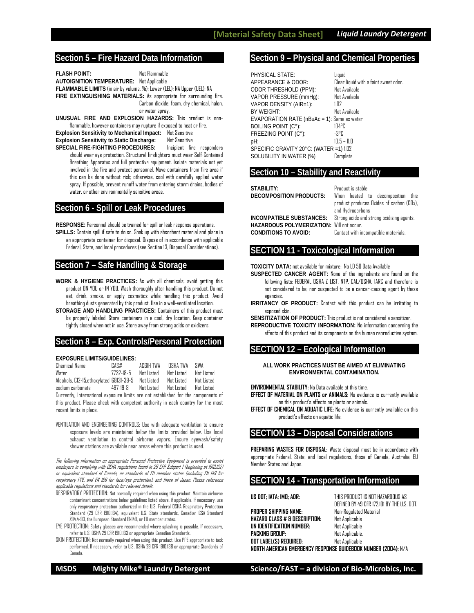### **Section 5 – Fire Hazard Data Information**

**FLASH POINT:** Not Flammable **AUTOIGNITION TEMPERATURE:** Not Applicable **FLAMMABLE LIMITS** (in air by volume, %): Lower (LEL): NA Upper (UEL): NA **FIRE EXTINGUISHING MATERIALS:** As appropriate for surrounding fire. Carbon dioxide, foam, dry chemical, halon, or water spray.

**UNUSUAL FIRE AND EXPLOSION HAZARDS:** This product is nonflammable, however containers may rupture if exposed to heat or fire. **Explosion Sensitivity to Mechanical Impact:** Not Sensitive **Explosion Sensitivity to Static Discharge:** Not Sensitive

**SPECIAL FIRE-FIGHTING PROCEDURES:** Incipient fire responders should wear eye protection. Structural firefighters must wear Self-Contained Breathing Apparatus and full protective equipment. Isolate materials not yet involved in the fire and protect personnel. Move containers from fire area if this can be done without risk; otherwise, cool with carefully applied water spray. If possible, prevent runoff water from entering storm drains, bodies of water, or other environmentally sensitive areas.

### **Section 6 - Spill or Leak Procedures**

**RESPONSE:** Personnel should be trained for spill or leak response operations. **SPILLS:** Contain spill if safe to do so. Soak up with absorbent material and place in an appropriate container for disposal. Dispose of in accordance with applicable Federal, State, and local procedures (see Section 13, Disposal Considerations).

## **Section 7 – Safe Handling & Storage**

- **WORK & HYGIENE PRACTICES:** As with all chemicals, avoid getting this product ON YOU or IN YOU. Wash thoroughly after handling this product. Do not eat, drink, smoke, or apply cosmetics while handling this product. Avoid breathing dusts generated by this product. Use in a well-ventilated location.
- **STORAGE AND HANDLING PRACTICES:** Containers of this product must be properly labeled. Store containers in a cool, dry location. Keep container tightly closed when not in use. Store away from strong acids or oxidizers.

### **Section 8 – Exp. Controls/Personal Protection**

#### **EXPOSURE LIMITS/GUIDELINES:**

| Chemical Name                                       | CAS#      | ACGIH TWA  | <b>NSHA TWA</b> | SWA        |
|-----------------------------------------------------|-----------|------------|-----------------|------------|
| Water                                               | 7737-18-5 | Nnt Listed | Nnt Listed      | Nnt listed |
| Alcohols, C12-15, ethoxylated 68131-39-5 Not Listed |           |            | Nnt Listed      | Nnt listed |
| sodium carbonate                                    | 497-19-8  | Not Listed | Nnt listed      | Nnt listed |

Currently, International exposure limits are not established for the components of this product. Please check with competent authority in each country for the most recent limits in place.

VENTILATION AND ENGINEERING CONTROLS: Use with adequate ventilation to ensure exposure levels are maintained below the limits provided below. Use local exhaust ventilation to control airborne vapors. Ensure eyewash/safety shower stations are available near areas where this product is used.

The following information on appropriate Personal Protective Equipment is provided to assist employers in complying with OSHA regulations found in 29 CFR Subpart I (beginning at 1910.132) or equivalent standard of Canada, or standards of EU member states (including EN 149 for respiratory PPE, and EN 166 for face/eye protection), and those of Japan. Please reference applicable regulations and standards for relevant details.

RESPIRATORY PROTECTION: Not normally required when using this product. Maintain airborne contaminant concentrations below guidelines listed above, if applicable. If necessary, use only respiratory protection authorized in the U.S. Federal OSHA Respiratory Protection Standard (29 CFR 1910.134), equivalent U.S. State standards, Canadian CSA Standard Z94.4-93, the European Standard EN149, or EU member states.

EYE PROTECTION: Safety glasses are recommended where splashing is possible. If necessary, refer to U.S. OSHA 29 CFR 1910.133 or appropriate Canadian Standards.

SKIN PROTECTION: Not normally required when using this product. Use PPE appropriate to task performed. If necessary, refer to U.S. OSHA 29 CFR 1910.138 or appropriate Standards of Canada.

### **Section 9 – Physical and Chemical Properties**

PHYSICAL STATE:<br>APPEARANCE & ODOR: Clear ODOR THRESHOLD (PPM): VAPOR PRESSURE (mmHg): Not Available VAPOR DENSITY (AIR=1): 1.02 BY WEIGHT: Not Available EVAPORATION RATE (nBuAc = 1): Same as water BOILING POINT (C°): 104°C<br>FREEZING POINT (C°): 28°C  $FREFZING POINT (C<sup>o</sup>)$ : pH: 10.5 – 11.0 SPECIFIC GRAVITY 20°C: (WATER =1) 1.02 SOLUBILITY IN WATER (%) Complete

Clear liquid with a faint sweet odor.<br>Not Available

#### **Section 10 – Stability and Reactivity**

**STABILITY:** Product is stable<br>**DECOMPOSITION PRODUCTS:** When heated

When heated to decomposition this product produces Oxides of carbon (COx), and Hydrocarbons **INCOMPATIBLE SUBSTANCES:** Strong acids and strong oxidizing agents.

**HAZARDOUS POLYMERIZATION:** Will not occur. **CONDITIONS TO AVOID:** Contact with incompatible materials.

## **SECTION 11 - Toxicological Information**

**TOXICITY DATA:** not available for mixture: No LD 50 Data Available

- **SUSPECTED CANCER AGENT:** None of the ingredients are found on the following lists: FEDERAL OSHA Z LIST, NTP, CAL/OSHA, IARC and therefore is not considered to be, nor suspected to be a cancer-causing agent by these agencies.
- **IRRITANCY OF PRODUCT:** Contact with this product can be irritating to exposed skin.

**SENSITIZATION OF PRODUCT:** This product is not considered a sensitizer. **REPRODUCTIVE TOXICITY INFORMATION:** No information concerning the effects of this product and its components on the human reproductive system.

# **SECTION 12 – Ecological Information**

**ALL WORK PRACTICES MUST BE AIMED AT ELIMINATING ENVIRONMENTAL CONTAMINATION.** 

**ENVIRONMENTAL STABILITY:** No Data available at this time.

- **EFFECT OF MATERIAL ON PLANTS or ANIMALS:** No evidence is currently available on this product's effects on plants or animals.
- **EFFECT OF CHEMICAL ON AQUATIC LIFE:** No evidence is currently available on this product's effects on aquatic life.

## **SECTION 13 – Disposal Considerations**

**PREPARING WASTES FOR DISPOSAL:** Waste disposal must be in accordance with appropriate Federal, State, and local regulations, those of Canada, Australia, EU Member States and Japan.

# **SECTION 14 - Transportation Information**

**US DOT; IATA; IMO; ADR:** THIS PRODUCT IS NOT HAZARDOUS AS

**PROPER SHIPPING NAME:** Non-Regulated **Material Material Property**<br>**HAZARD CLASS # & DESCRIPTION:** Not Applicable **HAZARD CLASS # & DESCRIPTION: UN IDENTIFICATION NUMBER:** Not Applicable **PACKING GROUP:** Not Applicable. **DOT LABEL(S) REQUIRED:** Not Applicable **NORTH AMERICAN EMERGENCY RESPONSE GUIDEBOOK NUMBER (2004):** N/A

DEFINED BY 49 CFR 172.101 BY THE U.S. DOT.

**MSDS Mighty Mike® Laundry Detergent Scienco/FAST – a division of Bio‐Microbics, Inc.**